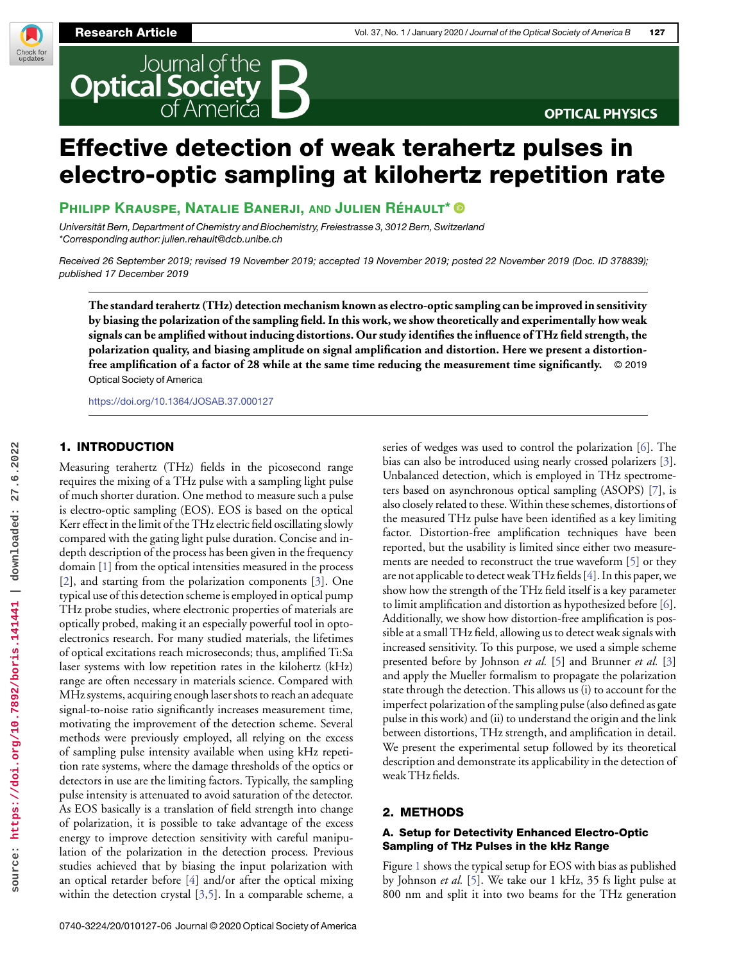Check for<br>updates



# **OPTICAL PHYSICS**

# Effective detection of weak terahertz pulses in electro-optic sampling at kilohertz repetition rate

**Philipp Krauspe, Natalie Banerji, AND Julien Réhault\***

Universität Bern, Department of Chemistry and Biochemistry, Freiestrasse 3, 3012 Bern, Switzerland \*Corresponding author: [julien.rehault@dcb.unibe.ch](mailto:julien.rehault@dcb.unibe.ch)

Received 26 September 2019; revised 19 November 2019; accepted 19 November 2019; posted 22 November 2019 (Doc. ID 378839); published 17 December 2019

**The standard terahertz (THz) detection mechanism known as electro-optic sampling can be improved in sensitivity by biasing the polarization of the sampling field. In this work, we show theoretically and experimentally how weak signals can be amplified without inducing distortions. Our study identifies the influence of THz field strength, the polarization quality, and biasing amplitude on signal amplification and distortion. Here we present a distortionfree amplification of a factor of 28 while at the same time reducing the measurement time significantly.** © 2019 Optical Society of America

<https://doi.org/10.1364/JOSAB.37.000127>

## 1. INTRODUCTION

Measuring terahertz (THz) fields in the picosecond range requires the mixing of a THz pulse with a sampling light pulse of much shorter duration. One method to measure such a pulse is electro-optic sampling (EOS). EOS is based on the optical Kerr effect in the limit of the THz electric field oscillating slowly compared with the gating light pulse duration. Concise and indepth description of the process has been given in the frequency domain [1] from the optical intensities measured in the process [2], and starting from the polarization components [3]. One typical use of this detection scheme is employed in optical pump THz probe studies, where electronic properties of materials are optically probed, making it an especially powerful tool in optoelectronics research. For many studied materials, the lifetimes of optical excitations reach microseconds; thus, amplified Ti:Sa laser systems with low repetition rates in the kilohertz (kHz) range are often necessary in materials science. Compared with MHz systems, acquiring enough laser shots to reach an adequate signal-to-noise ratio significantly increases measurement time, motivating the improvement of the detection scheme. Several methods were previously employed, all relying on the excess of sampling pulse intensity available when using kHz repetition rate systems, where the damage thresholds of the optics or detectors in use are the limiting factors. Typically, the sampling pulse intensity is attenuated to avoid saturation of the detector. As EOS basically is a translation of field strength into change of polarization, it is possible to take advantage of the excess energy to improve detection sensitivity with careful manipulation of the polarization in the detection process. Previous studies achieved that by biasing the input polarization with an optical retarder before [4] and/or after the optical mixing within the detection crystal [3,5]. In a comparable scheme, a

series of wedges was used to control the polarization [6]. The bias can also be introduced using nearly crossed polarizers [3]. Unbalanced detection, which is employed in THz spectrometers based on asynchronous optical sampling (ASOPS) [7], is also closely related to these.Within these schemes, distortions of the measured THz pulse have been identified as a key limiting factor. Distortion-free amplification techniques have been reported, but the usability is limited since either two measurements are needed to reconstruct the true waveform [5] or they are not applicable to detect weak THz fields [4]. In this paper, we show how the strength of the THz field itself is a key parameter to limit amplification and distortion as hypothesized before [6]. Additionally, we show how distortion-free amplification is possible at a small THz field, allowing us to detect weak signals with increased sensitivity. To this purpose, we used a simple scheme presented before by Johnson *et al.* [5] and Brunner *et al.* [3] and apply the Mueller formalism to propagate the polarization state through the detection. This allows us (i) to account for the imperfect polarization of the sampling pulse (also defined as gate pulse in this work) and (ii) to understand the origin and the link between distortions, THz strength, and amplification in detail. We present the experimental setup followed by its theoretical description and demonstrate its applicability in the detection of weak THz fields.

# 2. METHODS

## A. Setup for Detectivity Enhanced Electro-Optic Sampling of THz Pulses in the kHz Range

Figure 1 shows the typical setup for EOS with bias as published by Johnson *et al.* [5]. We take our 1 kHz, 35 fs light pulse at 800 nm and split it into two beams for the THz generation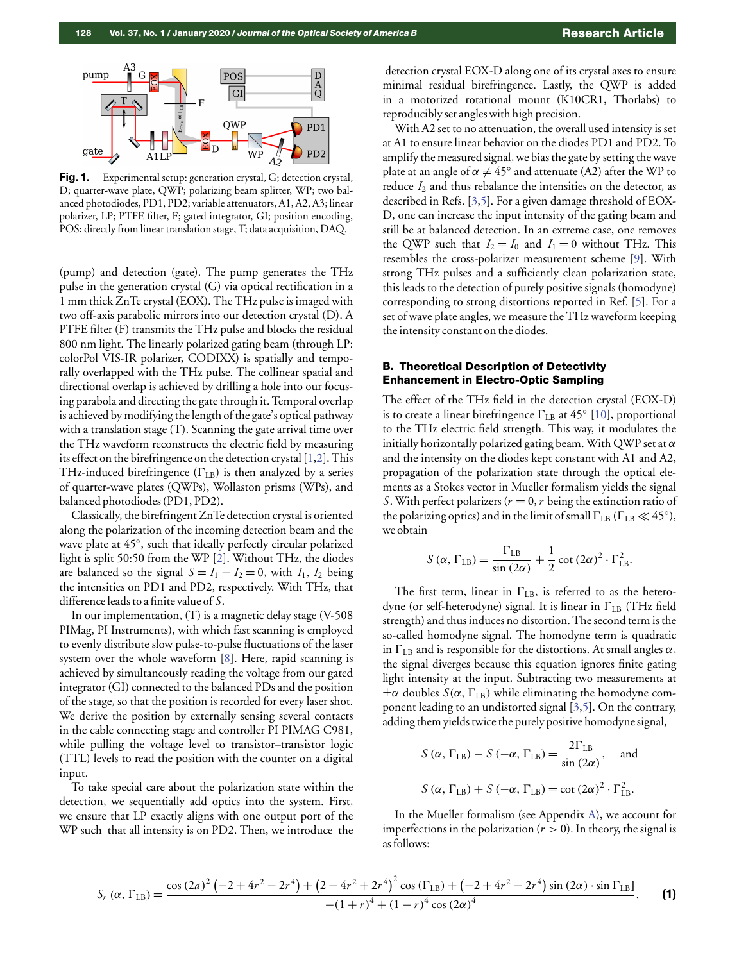

Fig. 1. Experimental setup: generation crystal, G; detection crystal, D; quarter-wave plate, QWP; polarizing beam splitter, WP; two balanced photodiodes, PD1, PD2; variable attenuators, A1, A2, A3; linear polarizer, LP; PTFE filter, F; gated integrator, GI; position encoding, POS; directly from linear translation stage, T; data acquisition, DAQ.

(pump) and detection (gate). The pump generates the THz pulse in the generation crystal (G) via optical rectification in a 1 mm thick ZnTe crystal (EOX). The THz pulse is imaged with two off-axis parabolic mirrors into our detection crystal (D). A PTFE filter (F) transmits the THz pulse and blocks the residual 800 nm light. The linearly polarized gating beam (through LP: colorPol VIS-IR polarizer, CODIXX) is spatially and temporally overlapped with the THz pulse. The collinear spatial and directional overlap is achieved by drilling a hole into our focusing parabola and directing the gate through it. Temporal overlap is achieved by modifying the length of the gate's optical pathway with a translation stage (T). Scanning the gate arrival time over the THz waveform reconstructs the electric field by measuring its effect on the birefringence on the detection crystal [1,2]. This THz-induced birefringence  $(\Gamma_{LB})$  is then analyzed by a series of quarter-wave plates (QWPs), Wollaston prisms (WPs), and balanced photodiodes (PD1, PD2).

Classically, the birefringent ZnTe detection crystal is oriented along the polarization of the incoming detection beam and the wave plate at 45°, such that ideally perfectly circular polarized light is split 50:50 from the WP [2]. Without THz, the diodes are balanced so the signal  $S = I_1 - I_2 = 0$ , with  $I_1, I_2$  being the intensities on PD1 and PD2, respectively. With THz, that difference leads to a finite value of *S*.

In our implementation, (T) is a magnetic delay stage (V-508 PIMag, PI Instruments), with which fast scanning is employed to evenly distribute slow pulse-to-pulse fluctuations of the laser system over the whole waveform [8]. Here, rapid scanning is achieved by simultaneously reading the voltage from our gated integrator (GI) connected to the balanced PDs and the position of the stage, so that the position is recorded for every laser shot. We derive the position by externally sensing several contacts in the cable connecting stage and controller PI PIMAG C981, while pulling the voltage level to transistor–transistor logic (TTL) levels to read the position with the counter on a digital input.

To take special care about the polarization state within the detection, we sequentially add optics into the system. First, we ensure that LP exactly aligns with one output port of the WP such that all intensity is on PD2. Then, we introduce the

detection crystal EOX-D along one of its crystal axes to ensure minimal residual birefringence. Lastly, the QWP is added in a motorized rotational mount (K10CR1, Thorlabs) to reproducibly set angles with high precision.

With A2 set to no attenuation, the overall used intensity is set at A1 to ensure linear behavior on the diodes PD1 and PD2. To amplify the measured signal, we bias the gate by setting the wave plate at an angle of  $\alpha \neq 45^{\circ}$  and attenuate (A2) after the WP to reduce *I*<sup>2</sup> and thus rebalance the intensities on the detector, as described in Refs. [3,5]. For a given damage threshold of EOX-D, one can increase the input intensity of the gating beam and still be at balanced detection. In an extreme case, one removes the QWP such that  $I_2 = I_0$  and  $I_1 = 0$  without THz. This resembles the cross-polarizer measurement scheme [9]. With strong THz pulses and a sufficiently clean polarization state, this leads to the detection of purely positive signals (homodyne) corresponding to strong distortions reported in Ref. [5]. For a set of wave plate angles, we measure the THz waveform keeping the intensity constant on the diodes.

### B. Theoretical Description of Detectivity Enhancement in Electro-Optic Sampling

The effect of the THz field in the detection crystal (EOX-D) is to create a linear birefringence  $\Gamma_{\rm LB}$  at  $45^{\circ}$  [10], proportional to the THz electric field strength. This way, it modulates the initially horizontally polarized gating beam. With QWP set at  $\alpha$ and the intensity on the diodes kept constant with A1 and A2, propagation of the polarization state through the optical elements as a Stokes vector in Mueller formalism yields the signal *S*. With perfect polarizers ( $r = 0$ ,  $r$  being the extinction ratio of the polarizing optics) and in the limit of small  $\Gamma_{\rm LB}$  ( $\Gamma_{\rm LB} \ll 45^{\circ}$ ), we obtain

$$
S(\alpha, \Gamma_{\text{LB}}) = \frac{\Gamma_{\text{LB}}}{\sin (2\alpha)} + \frac{1}{2} \cot (2\alpha)^2 \cdot \Gamma_{\text{LB}}^2.
$$

The first term, linear in  $\Gamma_{\text{LB}}$ , is referred to as the heterodyne (or self-heterodyne) signal. It is linear in  $\Gamma_{LB}$  (THz field strength) and thus induces no distortion. The second term is the so-called homodyne signal. The homodyne term is quadratic in  $\Gamma_{\text{LB}}$  and is responsible for the distortions. At small angles  $\alpha$ , the signal diverges because this equation ignores finite gating light intensity at the input. Subtracting two measurements at  $\pm \alpha$  doubles *S*( $\alpha$ ,  $\Gamma$ <sub>LB</sub>) while eliminating the homodyne component leading to an undistorted signal [3,5]. On the contrary, adding them yields twice the purely positive homodyne signal,

$$
S(\alpha, \Gamma_{LB}) - S(-\alpha, \Gamma_{LB}) = \frac{2\Gamma_{LB}}{\sin(2\alpha)}, \text{ and}
$$
  

$$
S(\alpha, \Gamma_{LB}) + S(-\alpha, \Gamma_{LB}) = \cot(2\alpha)^2 \cdot \Gamma_{LB}^2.
$$

In the Mueller formalism (see Appendix [A\)](#page-4-0), we account for imperfections in the polarization  $(r > 0)$ . In theory, the signal is as follows:

$$
S_r \left( \alpha, \Gamma_{\text{LB}} \right) = \frac{\cos \left( 2a \right)^2 \left( -2 + 4r^2 - 2r^4 \right) + \left( 2 - 4r^2 + 2r^4 \right)^2 \cos \left( \Gamma_{\text{LB}} \right) + \left( -2 + 4r^2 - 2r^4 \right) \sin \left( 2\alpha \right) \cdot \sin \Gamma_{\text{LB}} \right)}{-\left( 1 + r \right)^4 + \left( 1 - r \right)^4 \cos \left( 2\alpha \right)^4}.
$$
 (1)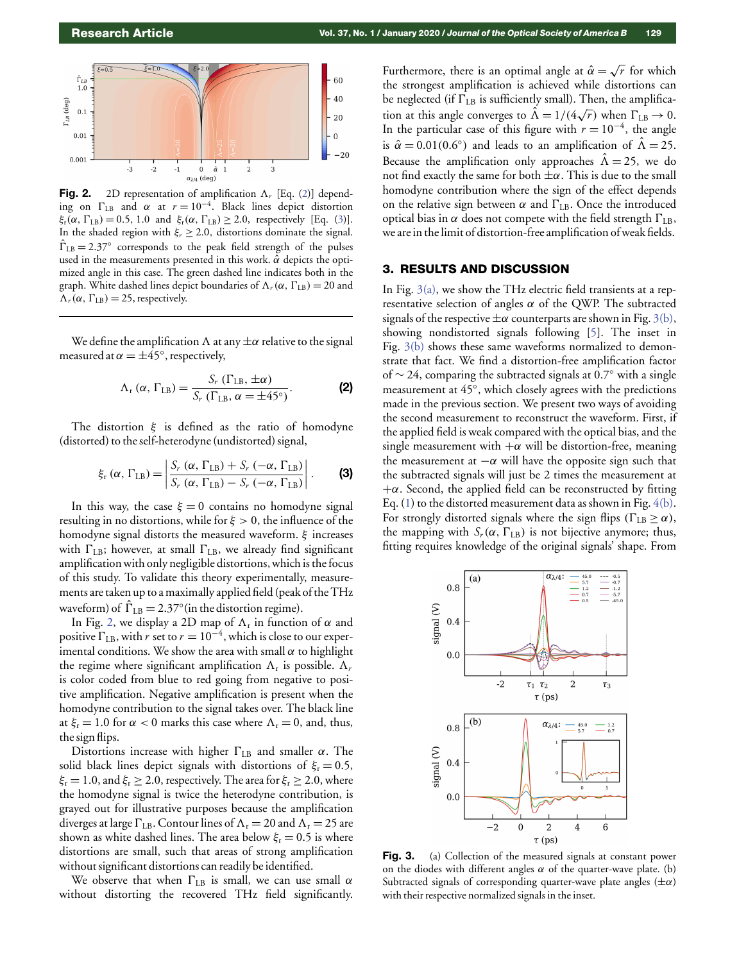

Fig. 2. 2D representation of amplification  $\Lambda$ , [Eq. (2)] depending on  $\Gamma_{\text{LB}}$  and  $\alpha$  at  $r = 10^{-4}$ . Black lines depict distortion  $\xi_{r}(\alpha, \Gamma_{LB}) = 0.5, 1.0$  and  $\xi_{r}(\alpha, \Gamma_{LB}) \geq 2.0$ , respectively [Eq. (3)]. In the shaded region with  $\xi_r \geq 2.0$ , distortions dominate the signal.  $\hat{\Gamma}_{LB} = 2.37$ ° corresponds to the peak field strength of the pulses used in the measurements presented in this work.  $\hat{\alpha}$  depicts the optimized angle in this case. The green dashed line indicates both in the graph. White dashed lines depict boundaries of  $\Lambda_r(\alpha, \Gamma_{\text{LB}}) = 20$  and  $\Lambda_r(\alpha, \Gamma_{\text{LB}}) = 25$ , respectively.

We define the amplification  $\Lambda$  at any  $\pm \alpha$  relative to the signal measured at  $\alpha = \pm 45^{\circ}$ , respectively,

$$
\Lambda_{\rm r}(\alpha,\,\Gamma_{\rm LB})=\frac{S_{\rm r}\,(\Gamma_{\rm LB},\,\pm\alpha)}{S_{\rm r}\,(\Gamma_{\rm LB},\,\alpha=\pm 45^\circ)}.\tag{2}
$$

The distortion  $\xi$  is defined as the ratio of homodyne (distorted) to the self-heterodyne (undistorted) signal,

$$
\xi_{\rm r}(\alpha,\,\Gamma_{\rm LB})=\left|\frac{S_r(\alpha,\,\Gamma_{\rm LB})+S_r(-\alpha,\,\Gamma_{\rm LB})}{S_r(\alpha,\,\Gamma_{\rm LB})-S_r(-\alpha,\,\Gamma_{\rm LB})}\right|.\qquad \qquad (3)
$$

In this way, the case  $\xi = 0$  contains no homodyne signal resulting in no distortions, while for  $\xi > 0$ , the influence of the homodyne signal distorts the measured waveform. ξ increases with  $\Gamma_{\text{LB}}$ ; however, at small  $\Gamma_{\text{LB}}$ , we already find significant amplification with only negligible distortions, which is the focus of this study. To validate this theory experimentally, measurements are taken up to a maximally applied field (peak of the THz waveform) of  $\hat{\Gamma}_{LB} = 2.37^{\circ}$  (in the distortion regime).

In Fig. 2, we display a 2D map of  $\Lambda_{\rm r}$  in function of  $\alpha$  and positive  $\Gamma_{\text{LB}}$ , with *r* set to  $r = 10^{-4}$ , which is close to our experimental conditions. We show the area with small  $\alpha$  to highlight the regime where significant amplification  $\Lambda_r$  is possible.  $\Lambda_r$ is color coded from blue to red going from negative to positive amplification. Negative amplification is present when the homodyne contribution to the signal takes over. The black line at  $\xi_r = 1.0$  for  $\alpha < 0$  marks this case where  $\Lambda_r = 0$ , and, thus, the sign flips.

Distortions increase with higher  $\Gamma_{\text{LB}}$  and smaller  $\alpha$ . The solid black lines depict signals with distortions of  $\xi_r = 0.5$ ,  $\xi_{\rm r} = 1.0$ , and  $\xi_{\rm r} \ge 2.0$ , respectively. The area for  $\xi_{\rm r} \ge 2.0$ , where the homodyne signal is twice the heterodyne contribution, is grayed out for illustrative purposes because the amplification diverges at large  $\Gamma_{\text{LB}}$ . Contour lines of  $\Lambda_{\text{r}} = 20$  and  $\Lambda_{\text{r}} = 25$  are shown as white dashed lines. The area below  $\xi_{\rm r} = 0.5$  is where distortions are small, such that areas of strong amplification without significant distortions can readily be identified.

We observe that when  $\Gamma_{\text{LB}}$  is small, we can use small  $\alpha$ without distorting the recovered THz field significantly.

Furthermore, there is an optimal angle at  $\hat{\alpha} = \surd$ *r* for which the strongest amplification is achieved while distortions can be neglected (if  $\Gamma_{\text{LB}}$  is sufficiently small). Then, the amplification at this angle converges to  $\hat{\Lambda} = 1/(4\sqrt{r})$  when  $\Gamma_{\text{LB}} \rightarrow 0$ . In the particular case of this figure with  $r = 10^{-4}$ , the angle is  $\hat{\alpha} = 0.01(0.6^{\circ})$  and leads to an amplification of  $\hat{\Lambda} = 25$ . Because the amplification only approaches  $\hat{\Lambda} = 25$ , we do not find exactly the same for both  $\pm \alpha$ . This is due to the small homodyne contribution where the sign of the effect depends on the relative sign between  $\alpha$  and  $\Gamma_{\text{LB}}$ . Once the introduced optical bias in  $\alpha$  does not compete with the field strength  $\Gamma_{\text{LB}}$ , we are in the limit of distortion-free amplification of weak fields.

#### 3. RESULTS AND DISCUSSION

In Fig. 3(a), we show the THz electric field transients at a representative selection of angles  $\alpha$  of the QWP. The subtracted signals of the respective  $\pm \alpha$  counterparts are shown in Fig. 3(b), showing nondistorted signals following [5]. The inset in Fig. 3(b) shows these same waveforms normalized to demonstrate that fact. We find a distortion-free amplification factor of ∼ 24, comparing the subtracted signals at 0.7◦ with a single measurement at 45°, which closely agrees with the predictions made in the previous section. We present two ways of avoiding the second measurement to reconstruct the waveform. First, if the applied field is weak compared with the optical bias, and the single measurement with  $+\alpha$  will be distortion-free, meaning the measurement at  $-\alpha$  will have the opposite sign such that the subtracted signals will just be 2 times the measurement at  $+\alpha$ . Second, the applied field can be reconstructed by fitting Eq.  $(1)$  to the distorted measurement data as shown in Fig.  $4(b)$ . For strongly distorted signals where the sign flips ( $\Gamma_{\text{LB}} \ge \alpha$ ), the mapping with  $S_r(\alpha, \Gamma_{\text{LB}})$  is not bijective anymore; thus, fitting requires knowledge of the original signals' shape. From



Fig. 3. (a) Collection of the measured signals at constant power on the diodes with different angles  $\alpha$  of the quarter-wave plate. (b) Subtracted signals of corresponding quarter-wave plate angles  $(\pm \alpha)$ with their respective normalized signals in the inset.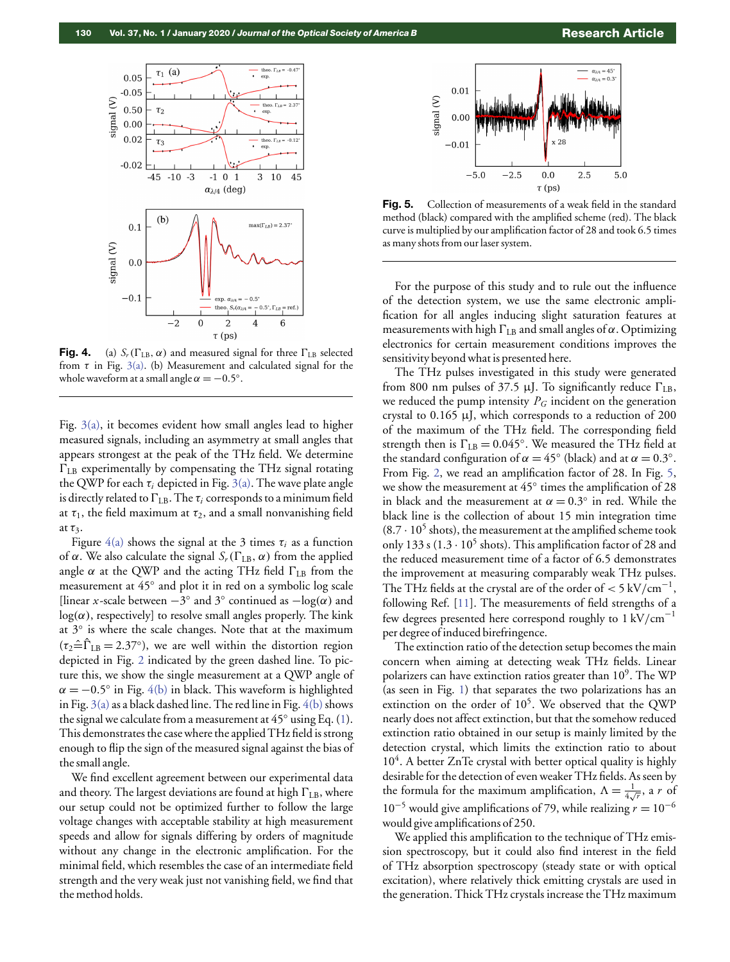

**Fig. 4.** (a)  $S_r(\Gamma_{LB}, \alpha)$  and measured signal for three  $\Gamma_{LB}$  selected from  $\tau$  in Fig. 3(a). (b) Measurement and calculated signal for the whole waveform at a small angle  $\alpha = -0.5^\circ$ .

Fig. 3(a), it becomes evident how small angles lead to higher measured signals, including an asymmetry at small angles that appears strongest at the peak of the THz field. We determine  $\Gamma_{\rm LB}$  experimentally by compensating the THz signal rotating the QWP for each  $\tau_i$  depicted in Fig. 3(a). The wave plate angle is directly related to  $\Gamma_{\text{LB}}$ . The  $\tau_i$  corresponds to a minimum field at  $\tau_1$ , the field maximum at  $\tau_2$ , and a small nonvanishing field at  $\tau_3$ .

Figure  $4(a)$  shows the signal at the 3 times  $\tau_i$  as a function of α. We also calculate the signal  $S_r(\Gamma_{\text{LB}}, \alpha)$  from the applied angle  $\alpha$  at the QWP and the acting THz field  $\Gamma_{\text{LB}}$  from the measurement at 45° and plot it in red on a symbolic log scale [linear *x*-scale between  $-3^\circ$  and 3 $^\circ$  continued as  $-\log(\alpha)$  and  $log(\alpha)$ , respectively] to resolve small angles properly. The kink at 3° is where the scale changes. Note that at the maximum  $(\tau_2 \hat{=} \hat{\Gamma}_{LB} = 2.37^{\circ})$ , we are well within the distortion region depicted in Fig. 2 indicated by the green dashed line. To picture this, we show the single measurement at a QWP angle of  $\alpha = -0.5^{\circ}$  in Fig. 4(b) in black. This waveform is highlighted in Fig.  $3(a)$  as a black dashed line. The red line in Fig.  $4(b)$  shows the signal we calculate from a measurement at  $45^{\circ}$  using Eq. (1). This demonstrates the case where the applied THz field is strong enough to flip the sign of the measured signal against the bias of the small angle.

We find excellent agreement between our experimental data and theory. The largest deviations are found at high  $\Gamma_{\rm LB}$ , where our setup could not be optimized further to follow the large voltage changes with acceptable stability at high measurement speeds and allow for signals differing by orders of magnitude without any change in the electronic amplification. For the minimal field, which resembles the case of an intermediate field strength and the very weak just not vanishing field, we find that the method holds.



Fig. 5. Collection of measurements of a weak field in the standard method (black) compared with the amplified scheme (red). The black curve is multiplied by our amplification factor of 28 and took 6.5 times as many shots from our laser system.

For the purpose of this study and to rule out the influence of the detection system, we use the same electronic amplification for all angles inducing slight saturation features at measurements with high  $\Gamma_{\text{LB}}$  and small angles of  $\alpha$ . Optimizing electronics for certain measurement conditions improves the sensitivity beyond what is presented here.

The THz pulses investigated in this study were generated from 800 nm pulses of 37.5  $\mu$ J. To significantly reduce  $\Gamma_{\text{LB}}$ , we reduced the pump intensity *P<sup>G</sup>* incident on the generation crystal to 0.165 µJ, which corresponds to a reduction of 200 of the maximum of the THz field. The corresponding field strength then is  $\Gamma_{\text{LB}} = 0.045^{\circ}$ . We measured the THz field at the standard configuration of  $\alpha = 45^{\circ}$  (black) and at  $\alpha = 0.3^{\circ}$ . From Fig. 2, we read an amplification factor of 28. In Fig. 5, we show the measurement at 45° times the amplification of 28 in black and the measurement at  $\alpha = 0.3^{\circ}$  in red. While the black line is the collection of about 15 min integration time  $(8.7 \cdot 10^5 \text{ shots})$ , the measurement at the amplified scheme took only 133 s (1.3  $\cdot$  10<sup>5</sup> shots). This amplification factor of 28 and the reduced measurement time of a factor of 6.5 demonstrates the improvement at measuring comparably weak THz pulses. The THz fields at the crystal are of the order of  $<$  5 kV/cm<sup>-1</sup>, following Ref. [11]. The measurements of field strengths of a few degrees presented here correspond roughly to 1 kV/cm<sup>-1</sup> per degree of induced birefringence.

The extinction ratio of the detection setup becomes the main concern when aiming at detecting weak THz fields. Linear polarizers can have extinction ratios greater than  $10^9$ . The WP (as seen in Fig. 1) that separates the two polarizations has an extinction on the order of  $10^5$ . We observed that the QWP nearly does not affect extinction, but that the somehow reduced extinction ratio obtained in our setup is mainly limited by the detection crystal, which limits the extinction ratio to about 10<sup>4</sup>. A better ZnTe crystal with better optical quality is highly desirable for the detection of even weaker THz fields. As seen by the formula for the maximum amplification,  $\Lambda = \frac{1}{4\sqrt{r}}$ , a *r* of 10<sup>−5</sup> would give amplifications of 79, while realizing  $r = 10^{-6}$ would give amplifications of 250.

We applied this amplification to the technique of THz emission spectroscopy, but it could also find interest in the field of THz absorption spectroscopy (steady state or with optical excitation), where relatively thick emitting crystals are used in the generation. Thick THz crystals increase the THz maximum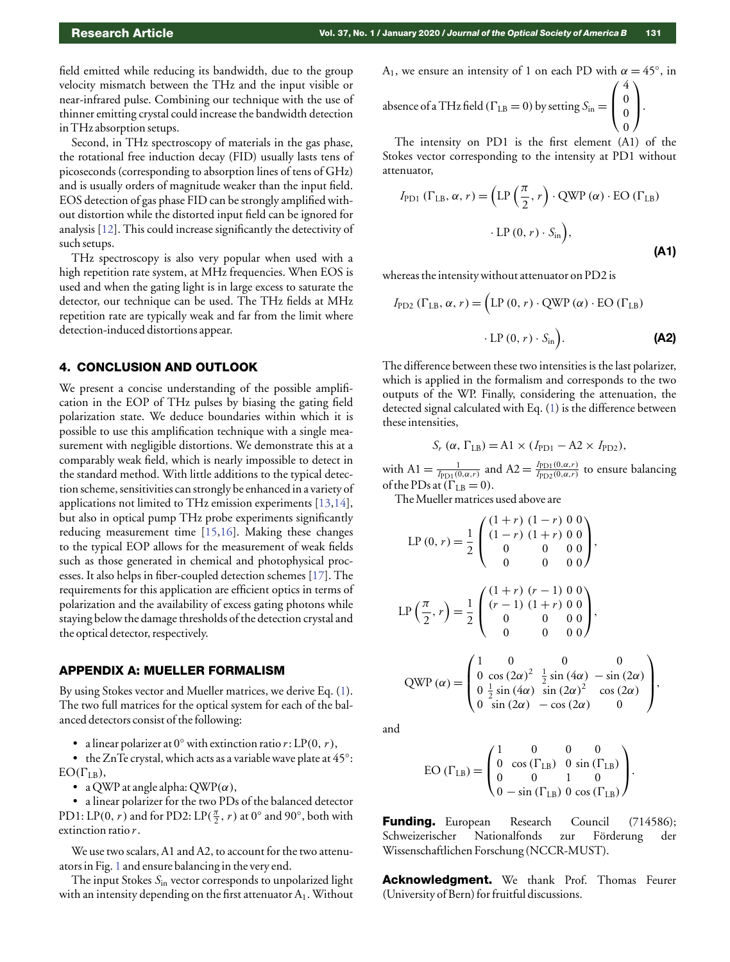field emitted while reducing its bandwidth, due to the group velocity mismatch between the THz and the input visible or near-infrared pulse. Combining our technique with the use of thinner emitting crystal could increase the bandwidth detection in THz absorption setups.

Second, in THz spectroscopy of materials in the gas phase, the rotational free induction decay (FID) usually lasts tens of picoseconds (corresponding to absorption lines of tens of GHz) and is usually orders of magnitude weaker than the input field. EOS detection of gas phase FID can be strongly amplified without distortion while the distorted input field can be ignored for analysis [12]. This could increase significantly the detectivity of such setups.

THz spectroscopy is also very popular when used with a high repetition rate system, at MHz frequencies. When EOS is used and when the gating light is in large excess to saturate the detector, our technique can be used. The THz fields at MHz repetition rate are typically weak and far from the limit where detection-induced distortions appear.

#### 4. CONCLUSION AND OUTLOOK

We present a concise understanding of the possible amplification in the EOP of THz pulses by biasing the gating field polarization state. We deduce boundaries within which it is possible to use this amplification technique with a single measurement with negligible distortions. We demonstrate this at a comparably weak field, which is nearly impossible to detect in the standard method. With little additions to the typical detection scheme, sensitivities can strongly be enhanced in a variety of applications not limited to THz emission experiments [13,14], but also in optical pump THz probe experiments significantly reducing measurement time [15,16]. Making these changes to the typical EOP allows for the measurement of weak fields such as those generated in chemical and photophysical processes. It also helps in fiber-coupled detection schemes [17]. The requirements for this application are efficient optics in terms of polarization and the availability of excess gating photons while staying below the damage thresholds of the detection crystal and the optical detector, respectively.

#### <span id="page-4-0"></span>APPENDIX A: MUELLER FORMALISM

By using Stokes vector and Mueller matrices, we derive Eq. (1). The two full matrices for the optical system for each of the balanced detectors consist of the following:

• a linear polarizer at 0◦ with extinction ratio *r*: LP(0, *r*),

• the ZnTe crystal, which acts as a variable wave plate at 45°:  $EO(\Gamma_{LB}),$ 

• a QWP at angle alpha:  $QWP(\alpha)$ ,

• a linear polarizer for the two PDs of the balanced detector PD1: LP(0, *r*) and for PD2: LP( $\frac{\pi}{2}$ , *r*) at 0° and 90°, both with extinction ratio *r*.

We use two scalars, A1 and A2, to account for the two attenuators in Fig. 1 and ensure balancing in the very end.

The input Stokes *S*in vector corresponds to unpolarized light with an intensity depending on the first attenuator  $A_1$ . Without A<sub>1</sub>, we ensure an intensity of 1 on each PD with  $\alpha = 45^{\circ}$ , in absence of a THz field ( $\Gamma_{\text{LB}} = 0$ ) by setting  $S_{\text{in}} =$  $\sqrt{ }$  $\mathbf{I}$ 4 0 0  $\setminus$  $\vert \cdot \vert$ 

0 The intensity on PD1 is the first element (A1) of the Stokes vector corresponding to the intensity at PD1 without attenuator,

$$
I_{\text{PD1}} (\Gamma_{\text{LB}}, \alpha, r) = \left( \text{LP} \left( \frac{\pi}{2}, r \right) \cdot \text{QWP} \left( \alpha \right) \cdot \text{EO} \left( \Gamma_{\text{LB}} \right) \right. \cdot \text{LP} \left( 0, r \right) \cdot S_{\text{in}} \right),
$$
\n(A1)

whereas the intensity without attenuator on PD2 is

$$
I_{\text{PD2}} (\Gamma_{\text{LB}}, \alpha, r) = (\text{LP } (0, r) \cdot \text{QWP } (\alpha) \cdot \text{EO } (\Gamma_{\text{LB}})
$$

$$
\cdot \text{LP } (0, r) \cdot S_{\text{in}}). \tag{A2}
$$

The difference between these two intensities is the last polarizer, which is applied in the formalism and corresponds to the two outputs of the WP. Finally, considering the attenuation, the detected signal calculated with Eq. (1) is the difference between these intensities,

$$
S_r (\alpha, \Gamma_{\text{LB}}) = \text{A1} \times (I_{\text{PD1}} - \text{A2} \times I_{\text{PD2}}),
$$

with  $A1 = \frac{1}{I_{\text{PD}_1(0,\alpha,r)}}$  and  $A2 = \frac{I_{\text{PD}_1(0,\alpha,r)}}{I_{\text{PD}_2(0,\alpha,r)}}$  $\frac{I_{\text{PD1}}(0, \alpha, r)}{I_{\text{PD2}}(0, \alpha, r)}$  to ensure balancing of the PDs at  $(\Gamma_{LB} = 0)$ .

TheMueller matrices used above are

$$
LP(0, r) = \frac{1}{2} \begin{pmatrix} (1+r) (1-r) 0 0 \\ (1-r) (1+r) 0 0 \\ 0 & 0 & 0 \\ 0 & 0 & 0 \end{pmatrix},
$$
  
\n
$$
LP\left(\frac{\pi}{2}, r\right) = \frac{1}{2} \begin{pmatrix} (1+r) (r-1) 0 0 \\ (r-1) (1+r) 0 0 \\ 0 & 0 & 0 \\ 0 & 0 & 0 \end{pmatrix},
$$
  
\n
$$
QWP(\alpha) = \begin{pmatrix} 1 & 0 & 0 & 0 \\ 0 & \cos(2\alpha)^2 & \frac{1}{2} \sin(4\alpha) & -\sin(2\alpha) \\ 0 & \frac{1}{2} \sin(4\alpha) & \sin(2\alpha)^2 & \cos(2\alpha) \\ 0 & \sin(2\alpha) & -\cos(2\alpha) & 0 \end{pmatrix},
$$

and

EO 
$$
(\Gamma_{LB}) = \begin{pmatrix} 1 & 0 & 0 & 0 \\ 0 & \cos(\Gamma_{LB}) & 0 & \sin(\Gamma_{LB}) \\ 0 & 0 & 1 & 0 \\ 0 & -\sin(\Gamma_{LB}) & 0 & \cos(\Gamma_{LB}) \end{pmatrix}
$$
.

Funding. European Research Council (714586); Schweizerischer Nationalfonds zur Förderung der Wissenschaftlichen Forschung (NCCR-MUST).

Acknowledgment. We thank Prof. Thomas Feurer (University of Bern) for fruitful discussions.